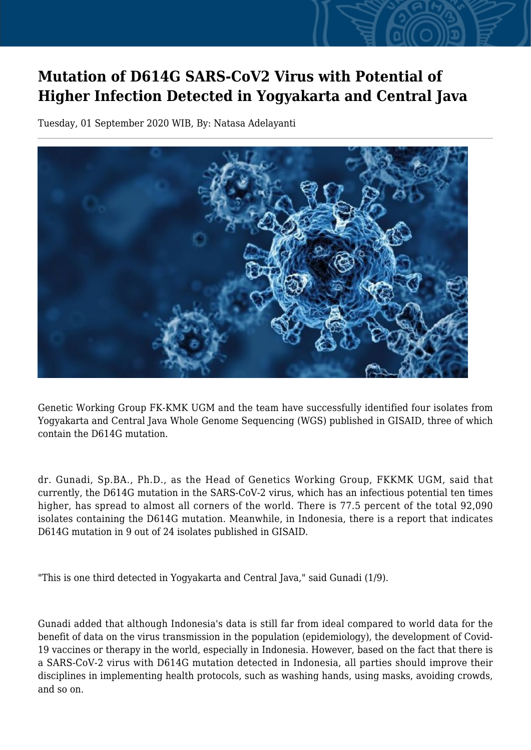## **Mutation of D614G SARS-CoV2 Virus with Potential of Higher Infection Detected in Yogyakarta and Central Java**

Tuesday, 01 September 2020 WIB, By: Natasa Adelayanti



Genetic Working Group FK-KMK UGM and the team have successfully identified four isolates from Yogyakarta and Central Java Whole Genome Sequencing (WGS) published in GISAID, three of which contain the D614G mutation.

dr. Gunadi, Sp.BA., Ph.D., as the Head of Genetics Working Group, FKKMK UGM, said that currently, the D614G mutation in the SARS-CoV-2 virus, which has an infectious potential ten times higher, has spread to almost all corners of the world. There is 77.5 percent of the total 92,090 isolates containing the D614G mutation. Meanwhile, in Indonesia, there is a report that indicates D614G mutation in 9 out of 24 isolates published in GISAID.

"This is one third detected in Yogyakarta and Central Java," said Gunadi (1/9).

Gunadi added that although Indonesia's data is still far from ideal compared to world data for the benefit of data on the virus transmission in the population (epidemiology), the development of Covid-19 vaccines or therapy in the world, especially in Indonesia. However, based on the fact that there is a SARS-CoV-2 virus with D614G mutation detected in Indonesia, all parties should improve their disciplines in implementing health protocols, such as washing hands, using masks, avoiding crowds, and so on.